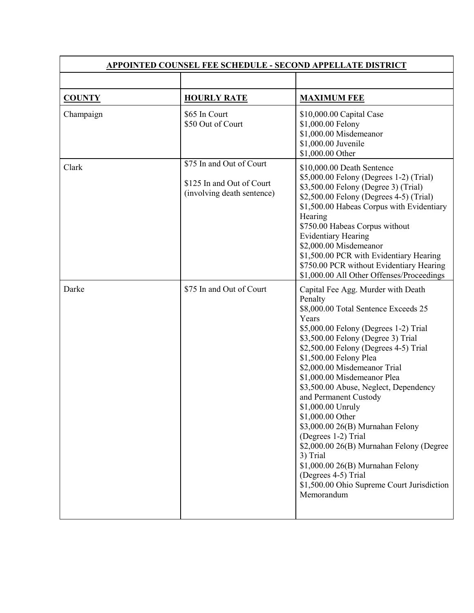| <b>APPOINTED COUNSEL FEE SCHEDULE - SECOND APPELLATE DISTRICT</b> |                                                                                     |                                                                                                                                                                                                                                                                                                                                                                                                                                                                                                                                                                                                                                                                      |  |
|-------------------------------------------------------------------|-------------------------------------------------------------------------------------|----------------------------------------------------------------------------------------------------------------------------------------------------------------------------------------------------------------------------------------------------------------------------------------------------------------------------------------------------------------------------------------------------------------------------------------------------------------------------------------------------------------------------------------------------------------------------------------------------------------------------------------------------------------------|--|
|                                                                   |                                                                                     |                                                                                                                                                                                                                                                                                                                                                                                                                                                                                                                                                                                                                                                                      |  |
| <b>COUNTY</b>                                                     | <b>HOURLY RATE</b>                                                                  | <b>MAXIMUM FEE</b>                                                                                                                                                                                                                                                                                                                                                                                                                                                                                                                                                                                                                                                   |  |
| Champaign                                                         | \$65 In Court<br>\$50 Out of Court                                                  | \$10,000.00 Capital Case<br>\$1,000.00 Felony<br>\$1,000.00 Misdemeanor<br>\$1,000.00 Juvenile<br>\$1,000.00 Other                                                                                                                                                                                                                                                                                                                                                                                                                                                                                                                                                   |  |
| Clark                                                             | \$75 In and Out of Court<br>\$125 In and Out of Court<br>(involving death sentence) | \$10,000.00 Death Sentence<br>\$5,000.00 Felony (Degrees 1-2) (Trial)<br>\$3,500.00 Felony (Degree 3) (Trial)<br>\$2,500.00 Felony (Degrees 4-5) (Trial)<br>\$1,500.00 Habeas Corpus with Evidentiary<br>Hearing<br>\$750.00 Habeas Corpus without<br><b>Evidentiary Hearing</b><br>\$2,000.00 Misdemeanor<br>\$1,500.00 PCR with Evidentiary Hearing<br>\$750.00 PCR without Evidentiary Hearing<br>\$1,000.00 All Other Offenses/Proceedings                                                                                                                                                                                                                       |  |
| Darke                                                             | \$75 In and Out of Court                                                            | Capital Fee Agg. Murder with Death<br>Penalty<br>\$8,000.00 Total Sentence Exceeds 25<br>Years<br>\$5,000.00 Felony (Degrees 1-2) Trial<br>\$3,500.00 Felony (Degree 3) Trial<br>\$2,500.00 Felony (Degrees 4-5) Trial<br>\$1,500.00 Felony Plea<br>\$2,000.00 Misdemeanor Trial<br>\$1,000.00 Misdemeanor Plea<br>\$3,500.00 Abuse, Neglect, Dependency<br>and Permanent Custody<br>\$1,000.00 Unruly<br>\$1,000.00 Other<br>\$3,000.00 26(B) Murnahan Felony<br>(Degrees 1-2) Trial<br>\$2,000.00 26(B) Murnahan Felony (Degree<br>3) Trial<br>\$1,000.00 26(B) Murnahan Felony<br>(Degrees 4-5) Trial<br>\$1,500.00 Ohio Supreme Court Jurisdiction<br>Memorandum |  |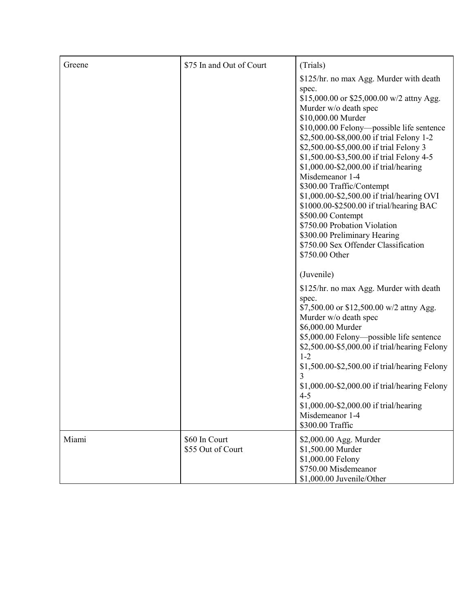| Greene | \$75 In and Out of Court           | (Trials)                                                                                                                                                                                                                                                                                                                                                                                                                                                                                                                                                                                                                                                          |
|--------|------------------------------------|-------------------------------------------------------------------------------------------------------------------------------------------------------------------------------------------------------------------------------------------------------------------------------------------------------------------------------------------------------------------------------------------------------------------------------------------------------------------------------------------------------------------------------------------------------------------------------------------------------------------------------------------------------------------|
|        |                                    | \$125/hr. no max Agg. Murder with death<br>spec.<br>\$15,000.00 or \$25,000.00 w/2 attny Agg.<br>Murder w/o death spec<br>\$10,000.00 Murder<br>\$10,000.00 Felony-possible life sentence<br>\$2,500.00-\$8,000.00 if trial Felony 1-2<br>\$2,500.00-\$5,000.00 if trial Felony 3<br>\$1,500.00-\$3,500.00 if trial Felony 4-5<br>\$1,000.00-\$2,000.00 if trial/hearing<br>Misdemeanor 1-4<br>\$300.00 Traffic/Contempt<br>\$1,000.00-\$2,500.00 if trial/hearing OVI<br>\$1000.00-\$2500.00 if trial/hearing BAC<br>\$500.00 Contempt<br>\$750.00 Probation Violation<br>\$300.00 Preliminary Hearing<br>\$750.00 Sex Offender Classification<br>\$750.00 Other |
|        |                                    | (Juvenile)<br>\$125/hr. no max Agg. Murder with death                                                                                                                                                                                                                                                                                                                                                                                                                                                                                                                                                                                                             |
|        |                                    | spec.<br>\$7,500.00 or \$12,500.00 w/2 attny Agg.<br>Murder w/o death spec<br>\$6,000.00 Murder<br>\$5,000.00 Felony-possible life sentence<br>\$2,500.00-\$5,000.00 if trial/hearing Felony<br>$1 - 2$<br>\$1,500.00-\$2,500.00 if trial/hearing Felony<br>3<br>\$1,000.00-\$2,000.00 if trial/hearing Felony<br>$4 - 5$<br>\$1,000.00-\$2,000.00 if trial/hearing<br>Misdemeanor 1-4<br>\$300.00 Traffic                                                                                                                                                                                                                                                        |
| Miami  | \$60 In Court<br>\$55 Out of Court | \$2,000.00 Agg. Murder<br>\$1,500.00 Murder<br>\$1,000.00 Felony<br>\$750.00 Misdemeanor<br>\$1,000.00 Juvenile/Other                                                                                                                                                                                                                                                                                                                                                                                                                                                                                                                                             |